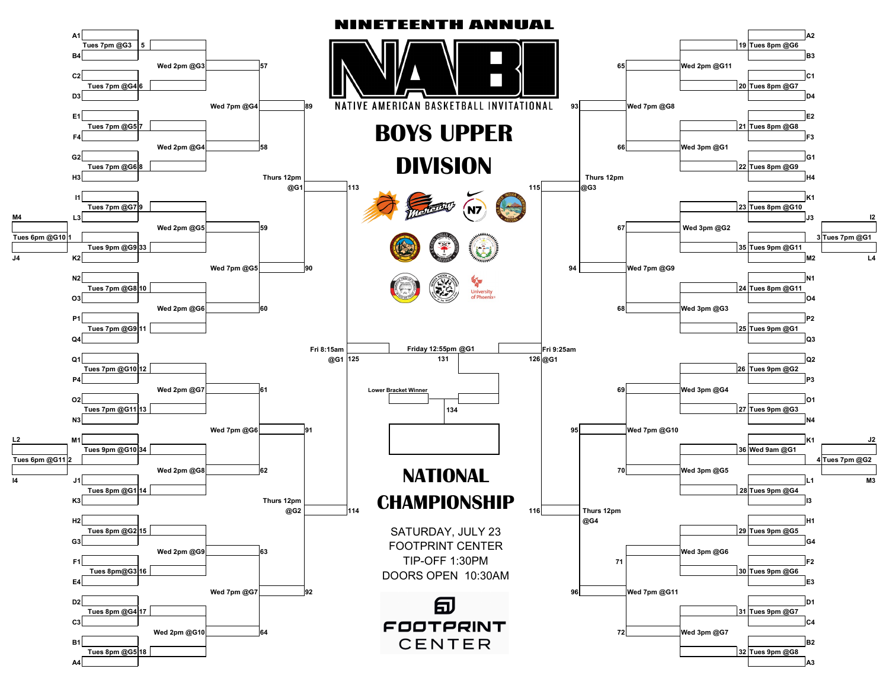